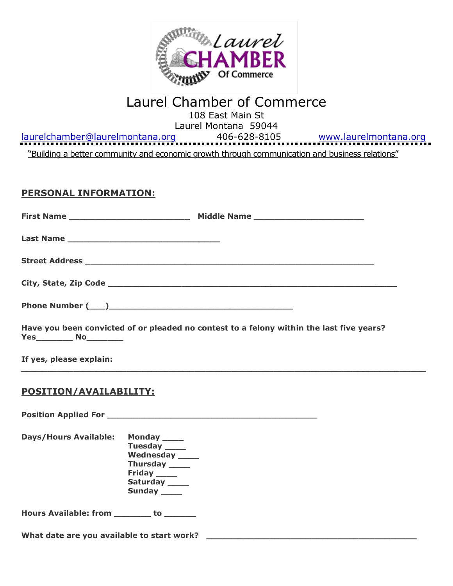

# Laurel Chamber of Commerce

108 East Main St Laurel Montana 59044

[laurelchamber@laurelmontana.org](mailto:laurelchamber@laurelmontana.org) 406-628-8105 [www.laurelmontana.org](http://www.laurelmontana.org/) "Building a better community and economic growth through communication and business relations"

### **PERSONAL INFORMATION:**

|                                           | Have you been convicted of or pleaded no contest to a felony within the last five years?            |
|-------------------------------------------|-----------------------------------------------------------------------------------------------------|
| If yes, please explain:                   |                                                                                                     |
| <b>POSITION/AVAILABILITY:</b>             |                                                                                                     |
|                                           |                                                                                                     |
| Days/Hours Available: Monday ____         | Tuesday _____<br>Wednesday ____<br>Thursday _____<br>Friday _____<br>Saturday _____<br>Sunday _____ |
| Hours Available: from ________ to _______ |                                                                                                     |
|                                           |                                                                                                     |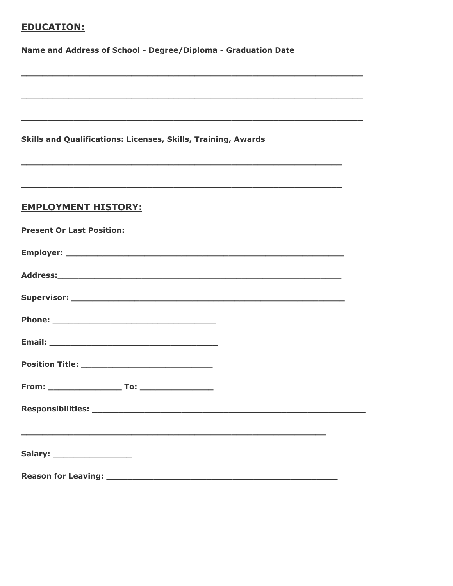# **EDUCATION:**

Name and Address of School - Degree/Diploma - Graduation Date

Skills and Qualifications: Licenses, Skills, Training, Awards

#### **EMPLOYMENT HISTORY:**

| <b>Present Or Last Position:</b> |  |
|----------------------------------|--|
|                                  |  |
|                                  |  |
|                                  |  |
|                                  |  |
|                                  |  |
|                                  |  |
|                                  |  |
|                                  |  |
|                                  |  |
| Salary: _____________________    |  |
|                                  |  |